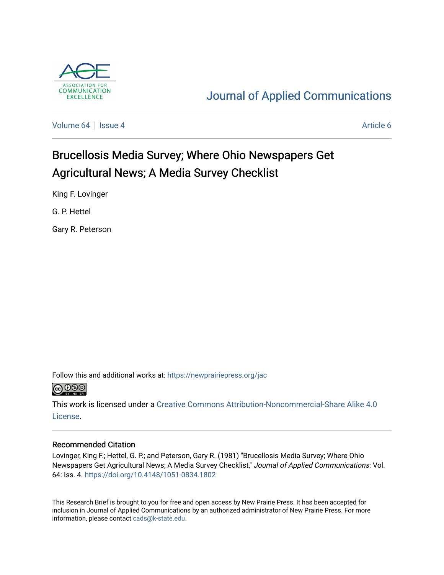

## [Journal of Applied Communications](https://newprairiepress.org/jac)

[Volume 64](https://newprairiepress.org/jac/vol64) | [Issue 4](https://newprairiepress.org/jac/vol64/iss4) [Article 6](https://newprairiepress.org/jac/vol64/iss4/6) Article 6

## Brucellosis Media Survey; Where Ohio Newspapers Get Agricultural News; A Media Survey Checklist

King F. Lovinger

G. P. Hettel

Gary R. Peterson

Follow this and additional works at: [https://newprairiepress.org/jac](https://newprairiepress.org/jac?utm_source=newprairiepress.org%2Fjac%2Fvol64%2Fiss4%2F6&utm_medium=PDF&utm_campaign=PDFCoverPages)



This work is licensed under a [Creative Commons Attribution-Noncommercial-Share Alike 4.0](https://creativecommons.org/licenses/by-nc-sa/4.0/) [License.](https://creativecommons.org/licenses/by-nc-sa/4.0/)

#### Recommended Citation

Lovinger, King F.; Hettel, G. P.; and Peterson, Gary R. (1981) "Brucellosis Media Survey; Where Ohio Newspapers Get Agricultural News; A Media Survey Checklist," Journal of Applied Communications: Vol. 64: Iss. 4. <https://doi.org/10.4148/1051-0834.1802>

This Research Brief is brought to you for free and open access by New Prairie Press. It has been accepted for inclusion in Journal of Applied Communications by an authorized administrator of New Prairie Press. For more information, please contact [cads@k-state.edu](mailto:cads@k-state.edu).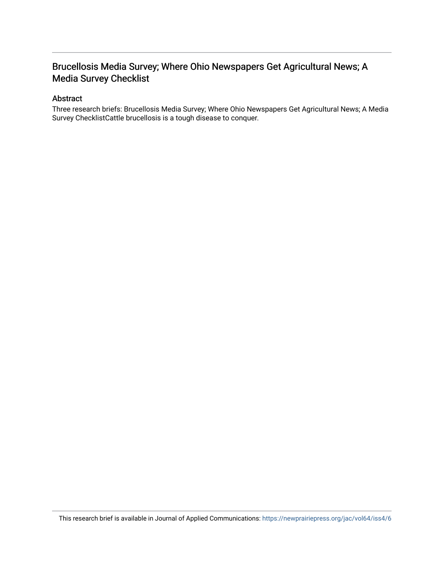### Brucellosis Media Survey; Where Ohio Newspapers Get Agricultural News; A Media Survey Checklist

#### Abstract

Three research briefs: Brucellosis Media Survey; Where Ohio Newspapers Get Agricultural News; A Media Survey ChecklistCattle brucellosis is a tough disease to conquer.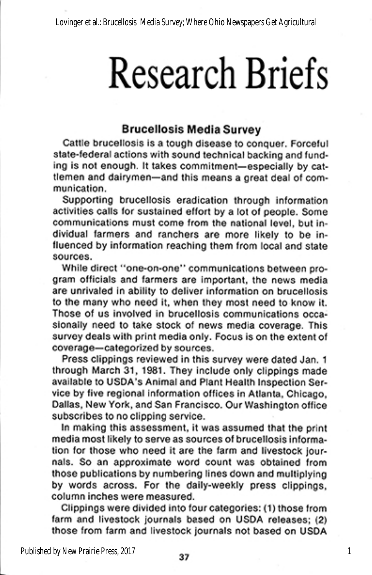# **Research Briefs**

#### **Brucellosis Media Survey**

Cattle brucellosis is a tough disease to conquer. Forceful state-federal actions with sound technical backing and funding is not enough. It takes commitment-especially by cattlemen and dairymen-and this means a great deal of communication.

Supporting brucellosis eradication through information activities calls for sustained effort by a lot of people. Some communications must come from the national level, but individual farmers and ranchers are more likely to be influenced by information reaching them from local and state sources.

While direct "one-on-one" communications between program officials and farmers are important, the news media are unrivaled in ability to deliver information on brucellosis to the many who need it, when they most need to know it. Those of us involved in brucellosis communications occasionally need to take stock of news media coverage. This survey deals with print media only. Focus is on the extent of coverage-categorized by sources.

Press clippings reviewed in this survey were dated Jan. 1 through March 31, 1981. They include only clippings made available to USDA's Animal and Plant Health Inspection Service by five regional information offices in Atlanta, Chicago, Dallas, New York, and San Francisco. Our Washington office subscribes to no clipping service.

In making this assessment, it was assumed that the print media most likely to serve as sources of brucellosis information for those who need it are the farm and livestock journals. So an approximate word count was obtained from those publications by numbering lines down and multiplying by words across. For the daily-weekly press clippings, column inches were measured.

Clippings were divided into four categories: (1) those from farm and livestock journals based on USDA releases; (2) those from farm and livestock journals not based on USDA

 $\mathbf{1}$ 

Published by New Prairie Press, 2017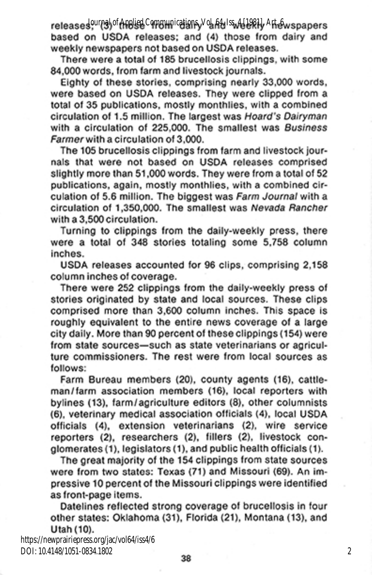releases Journal of Applied Communications, Vol. 64 Iss. 4 [1981] Art & spapers based on USDA releases; and (4) those from dairy and weekly newspapers not based on USDA releases.

There were a total of 185 brucellosis clippings, with some 84,000 words, from farm and livestock journals.

Eighty of these stories, comprising nearly 33,000 words, were based on USDA releases. They were clipped from a total of 35 publications, mostly monthlies, with a combined circulation of 1.5 million. The largest was Hoard's Dairyman with a circulation of 225,000. The smallest was Business Farmer with a circulation of 3,000.

The 105 brucellosis clippings from farm and livestock journals that were not based on USDA releases comprised slightly more than 51,000 words. They were from a total of 52 publications, again, mostly monthlies, with a combined circulation of 5.6 million. The biggest was Farm Journal with a circulation of 1,350,000. The smallest was Nevada Rancher with a 3,500 circulation.

Turning to clippings from the daily-weekly press, there were a total of 348 stories totaling some 5,758 column inches.

USDA releases accounted for 96 clips, comprising 2,158 column inches of coverage.

There were 252 clippings from the daily-weekly press of stories originated by state and local sources. These clips comprised more than 3,600 column inches. This space is roughly equivalent to the entire news coverage of a large city daily. More than 90 percent of these clippings (154) were from state sources-such as state veterinarians or agriculture commissioners. The rest were from local sources as follows:

Farm Bureau members (20), county agents (16), cattleman/farm association members (16), local reporters with bylines (13), farm/agriculture editors (8), other columnists (6), veterinary medical association officials (4), local USDA officials (4), extension veterinarians (2), wire service reporters (2), researchers (2), fillers (2), livestock conglomerates (1), legislators (1), and public health officials (1).

The great majority of the 154 clippings from state sources were from two states: Texas (71) and Missouri (69). An impressive 10 percent of the Missouri clippings were identified as front-page items.

Datelines reflected strong coverage of brucellosis in four other states: Oklahoma (31), Florida (21), Montana (13), and Utah (10).

https://newprairiepress.org/jac/vol64/iss4/6 DOI: 10.4148/1051-0834.1802

 $\boldsymbol{2}$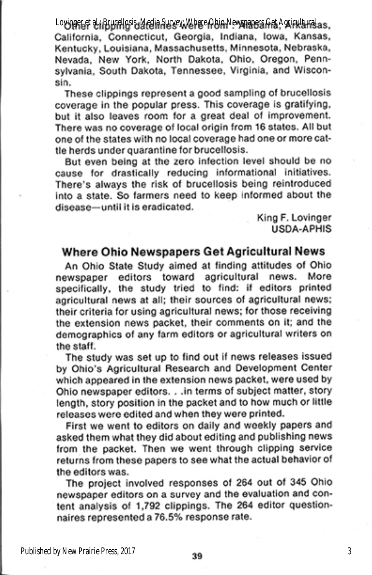Lovinger et al.; Brucellosis, Media Survey, Where Ohio Newspapers Get Agricultural as. California, Connecticut, Georgia, Indiana, Iowa, Kansas, Kentucky, Louisiana, Massachusetts, Minnesota, Nebraska, Nevada, New York, North Dakota, Ohio, Oregon, Pennsylvania, South Dakota, Tennessee, Virginia, and Wisconsin.

These clippings represent a good sampling of brucellosis coverage in the popular press. This coverage is gratifying, but it also leaves room for a great deal of improvement. There was no coverage of local origin from 16 states. All but one of the states with no local coverage had one or more cattle herds under quarantine for brucellosis.

But even being at the zero infection level should be no cause for drastically reducing informational initiatives. There's always the risk of brucellosis being reintroduced into a state. So farmers need to keep informed about the disease-until it is eradicated.

> King F. Lovinger USDA-APHIS

#### Where Ohio Newspapers Get Agricultural News

An Ohio State Study aimed at finding attitudes of Ohio newspaper editors toward agricultural news. More specifically, the study tried to find: if editors printed agricultural news at all; their sources of agricultural news; their criteria for using agricultural news; for those receiving the extension news packet, their comments on it; and the demographics of any farm editors or agricultural writers on the staff.

The study was set up to find out if news releases issued by Ohio's Agricultural Research and Development Center which appeared in the extension news packet, were used by Ohio newspaper editors. . . in terms of subject matter, story length, story position in the packet and to how much or little releases were edited and when they were printed.

First we went to editors on daily and weekly papers and asked them what they did about editing and publishing news from the packet. Then we went through clipping service returns from these papers to see what the actual behavior of the editors was.

The project involved responses of 264 out of 345 Ohio newspaper editors on a survey and the evaluation and content analysis of 1,792 clippings. The 264 editor questionnaires represented a 76.5% response rate.

3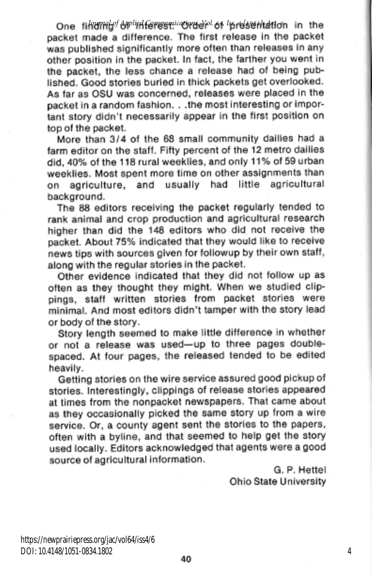One tikumal of Applied Communications Nol. 64 Iss relss that for in the packet made a difference. The first release in the packet was published significantly more often than releases in any other position in the packet. In fact, the farther you went in the packet, the less chance a release had of being published. Good stories buried in thick packets get overlooked. As far as OSU was concerned, releases were placed in the packet in a random fashion. . . the most interesting or important story didn't necessarily appear in the first position on top of the packet.

More than 3/4 of the 68 small community dailies had a farm editor on the staff. Fifty percent of the 12 metro dailies did, 40% of the 118 rural weeklies, and only 11% of 59 urban weeklies. Most spent more time on other assignments than usually had little agricultural agriculture, and on background.

The 88 editors receiving the packet regularly tended to rank animal and crop production and agricultural research higher than did the 148 editors who did not receive the packet. About 75% indicated that they would like to receive news tips with sources given for followup by their own staff, along with the regular stories in the packet.

Other evidence indicated that they did not follow up as often as they thought they might. When we studied clippings, staff written stories from packet stories were minimal. And most editors didn't tamper with the story lead or body of the story.

Story length seemed to make little difference in whether or not a release was used-up to three pages doublespaced. At four pages, the released tended to be edited heavily.

Getting stories on the wire service assured good pickup of stories. Interestingly, clippings of release stories appeared at times from the nonpacket newspapers. That came about as they occasionally picked the same story up from a wire service. Or, a county agent sent the stories to the papers. often with a byline, and that seemed to help get the story used locally. Editors acknowledged that agents were a good source of agricultural information.

G. P. Hettel Ohio State University

4

https://newprairiepress.org/jac/vol64/iss4/6 DOI: 10.4148/1051-0834.1802